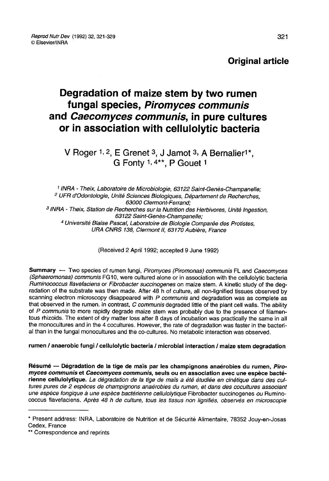Original article

# Degradation of maize stem by two rumen fungal species, Piromyces communis and Caecomyces communis, in pure cultures or in association with cellulolytic bacteria ces communis, in pure cult<br>ation with cellulolytic bacte<br>E Grenet 3, J Jamot 3, A Bernalier<sup>1</sup><br>G Fonty 1, 4\*\*, P Gouet 1

V Roger 1, 2, E Grenet 3, J Jamot 3, A Bernalier<sup>1\*</sup>. G F Grenet 3, J Jamot 3, A<br>Grenet 3, J Jamot 3, A<br>Fonty 1, 4\*\*, P Gouet 1

<sup>1</sup> INRA - Theix, Laboratoire de Microbiologie, 63122 Saint-Genès-Champanelle;<br><sup>2</sup> UFR d'Odontologie, Unité Sciences Biologiques, Département de Recherches,<br>63000 Clermont-Ferrand: <sup>3</sup> INRA - Theix, Station de Recherches sur la Nutrition des Herbivores, Unité Ingestion,<br>63122 Saint-Genès-Champanelle;<br><sup>4</sup> Université Blaise Pascal, Laboratoire de Biologie Comparée des Protistes,<br>URA CNRS 138, Clermont

(Received 2 April 1992; accepted 9 June 1992)

Summary - Two species of rumen fungi, Piromyces (Piromonas) communis FL and Caecomyces (Sphaeromonas) communis FG10, were cultured alone or in association with the cellulolytic bacteria<br>Ruminococcus flavefaciens or Fibrobacter succinogenes on maize stem. A kinetic study of the degradation of the substrate was then made. After 48 h of culture, all non-lignified tissues observed by scanning electron microscopy disappeared with  $P$  communis and degradation was as complete as that observed in the rumen. In contrast,  $C$  communis degraded little of the plant cell walls. The ability of P communis to more rapidly degrade maize stem was probably due to the presence of filamentous rhizoids. The extent of dry matter loss after 8 days of incubation was practically the same in all the monocultures and in the 4 cocultures. However, the rate of degradation was faster in the bacterial than in the fungal monocultures and the co-cultures. No metabolic interaction was observed.

## rumen / anaerobic fungi / cellulolytic bacteria / microbial interaction / maize stem degradation

Résumé ― Dégradation de la tige de maïs par les champignons anaérobies du rumen, Piromyces communis et Caecomyces communis, seuls ou en association avec une espèce bactérienne cellulolytique. La dégradation de la tige de maïs a été étudiée en cinétique dans des cultures pures de 2 espèces de champignons anaérobies du rumen, et dans des cocultures associant une espèce fongique à une espèce bactérienne cellulolytique Fibrobacter succinogenes ou Ruminococcus flavefaciens. Après 48 h de culture, tous les tissus non lignifiés, observés en microscopie

<sup>\*</sup> Present address: INRA, Laboratoire de Nutrition et de Sécurité Alimentaire, 78352 Jouy-en-Josas Cedex, France<br>\*\* Correspondence and reprints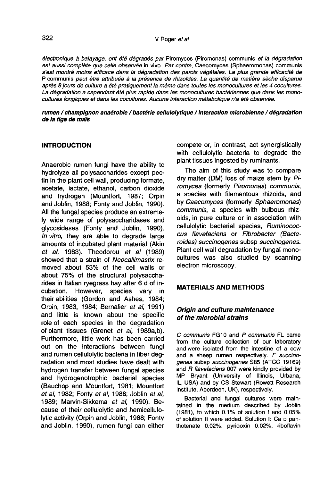électronique à balayage, ont été dégradés par Piromyces (Piromonas) communis et la dégradation est aussi complète que celle observée in vivo. Par contre, Caecomyces (Sphaeromonas) communis s'est montré moins efficace dans la dégradation des parois végétales. La plus grande efficacité de P communis peut être attribuée à la présence de rhizoides. La quantité de matière sèche disparue après 8 jours de culture a été pratiquement la même dans toutes les monocultures et les 4 cocultures. La dégradation a cependant été plus rapide dans les monocultures bactériennes que dans les monocultures fongiques et dans les cocultures. Aucune interaction métabolique n'a été observée.

rumen / champignon anaérobie / bactérie cellulolytique / interaction microbienne / dégradation de la tige de maïs

### INTRODUCTION

Anaerobic rumen fungi have the ability to hydrolyze all polysaccharides except pectin in the plant cell wall, producing formate, acetate, lactate, ethanol, carbon dioxide and hydrogen (Mountfort, 1987; Orpin and Joblin, 1988; Fonty and Joblin, 1990). All the fungal species produce an extremely wide range of polysaccharidases and glycosidases (Fonty and Joblin, 1990). In vitro, they are able to degrade large amounts of incubated plant material (Akin et al, 1983). Theodorou et al (1989) showed that a strain of Neocallimastix removed about 53% of the cell walls or about 75% of the structural polysaccharides in Italian ryegrass hay after 6 d of in-<br>cubation. However, species vary in However, species vary in their abilities (Gordon and Ashes, 1984; Orpin, 1983, 1984; Bernalier et al, 1991) and little is known about the specific role of each species in the degradation of plant tissues (Grenet et al, 1989a,b). Furthermore, little work has been carried out on the interactions between fungi and rumen cellulolytic bacteria in fiber degradation and most studies have dealt with hydrogen transfer between fungal species and hydrogenotrophic bacterial species (Bauchop and Mountfort, 1981; Mountfort et al, 1982; Fonty et al, 1988; Joblin et al, 1989; Marvin-Sikkema et al, 1990). Because of their cellulolytic and hemicellulolytic activity (Orpin and Joblin, 1988; Fonty and Joblin, 1990), rumen fungi can either compete or, in contrast, act synergistically with cellulolytic bacteria to degrade the plant tissues ingested by ruminants.

The aim of this study was to compare dry matter (DM) loss of maize stem by Piromyces (formerly Piromonas) communis, a species with filamentous rhizoids, and by Caecomyces (formerly Sphaeromonas) communis, a species with bulbous rhizoids, in pure culture or in association with cellulolytic bacterial species, Ruminococcus flavefaciens or Fibrobacter (Bacteroides) succinogenes subsp succinogenes. Plant cell wall degradation by fungal monocultures was also studied by scanning electron microscopy.

## MATERIALS AND METHODS

# Origin and culture maintenance of the microbial strains

C communis FG10 and P communis FL came from the culture collection of our laboratory and were isolated from the intestine of a cow and a sheep rumen respectively. F succinogenes subsp succinogenes S85 (ATCC 19169)<br>and R flavefaciens 007 were kindly provided by MP Bryant (University of Illinois, Urbana, IL, USA) and by CS Stewart (Rowett Research Institute, Aberdeen, UK), respectively.

Bacterial and fungal cultures were maintained in the medium described by Joblin<br>
(1981), to which 0.1% of solution I and 0.05%<br>
of solution II were added. Solution I: Ca p pan-<br>
thotenate 0.02%, pyridoxin 0.02%, riboflavin (1981), to which 0.1% of solution I and 0.05% thotenate 0.02%, pyridoxin 0.02%, riboflavin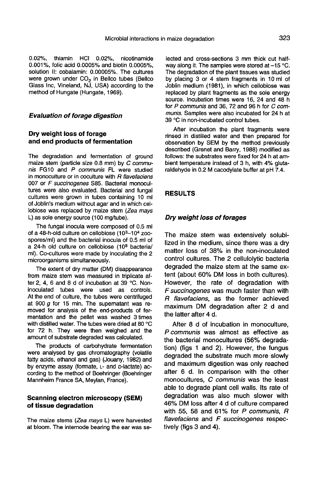0.02%, thiamin HCI 0.02%, nicotinamide 0.001%, folic acid 0.0005% and biotin 0.0005%, solution II: cobalamin: 0.00005%. The cultures were grown under CO<sub>2</sub> in Bellco tubes (Bellco Glass Inc, Vineland, NJ, USA) according to the method of Hungate (Hungate, 1969).

#### Evaluation of forage digestion

#### Dry weight loss of forage and end products of fermentation

The degradation and fermentation of ground maize stem (particle size 0.8 mm) by C communis FG10 and P communis FL were studied in monoculture or in coculture with R flavefaciens 007 or F succinogenes S85. Bacterial monocultures were also evaluated. Bacterial and fungal cultures were grown in tubes containing 10 ml of Joblin's medium without agar and in which cellobiose was replaced by maize stem (Zea mays L) as sole energy source (100 mg/tube).

The fungal inocula were composed of 0.5 ml of a 48-h-old culture on cellobiose (10<sup>3</sup>-10<sup>4</sup> zoospores/ml) and the bacterial inocula of 0.5 ml of a 24-h old culture on cellobiose (108 bacteria/ ml). Co-cultures were made by inoculating the 2 microorganisms simultaneously.

The extent of dry matter (DM) disappearance from maize stem was measured in triplicate after 2, 4, 6 and 8 d of incubation at 39 °C. Noninoculated tubes were used as controls. At the end of culture, the tubes were centrifuged at 900 g for 15 min. The supematant was removed for analysis of the end-products of fermentation and the pellet was washed 3 times with distilled water. The tubes were dried at 80 °C for 72 h. They were then weighed and the amount of substrate degraded was calculated.

The products of carbohydrate fermentation were analysed by gas chromatography (volatile fatty acids, ethanol and gas) (Jouany, 1982) and by enzyme assay (formate, L- and D-lactate) according to the method of Boehringer (Boehringer Mannheim France SA, Meylan, France).

## Scanning electron microscopy (SEM) of tissue degradation

The maize stems (Zea mays L) were harvested at bloom. The intemode bearing the ear was selected and cross-sections 3 mm thick cut halfway along it. The samples were stored at  $-15$  °C. The degradation of the plant tissues was studied by placing 3 or 4 stem fragments in 10 ml of Joblin medium (1981), in which cellobiose was replaced by plant fragments as the sole energy source. Incubation times were 16, 24 and 48 h for P communis and 36, 72 and 96 h for C communis. Samples were also incubated for 24 h at 39 °C in non-incubated control tubes.

After incubation the plant fragments were rinsed in distilled water and then prepared for observation by SEM by the method previously described (Grenet and Barry, 1988) modified as follows: the substrates were fixed for 24 h at ambient temperature instead of 3 h, with 4% glutaraldehyde in 0.2 M cacodylate buffer at pH 7.4.

#### RESULTS

## Dry weight loss of forages

The maize stem was extensively solubilized in the medium, since there was a dry matter loss of 38% in the non-inoculated control cultures. The 2 cellulolytic bacteria degraded the maize stem at the same extent (about 60% DM loss in both cultures). However, the rate of degradation with Fsuccinogenes was much faster than with R flavefaciens, as the former achieved maximum DM degradation after 2 d and the latter after 4 d.

After 8 d of incubation in monoculture, P communis was almost as effective as the bacterial monocultures (56% degradation) (figs 1 and 2). However, the fungus degraded the substrate much more slowly and maximum digestion was only reached after 6 d. In comparison with the other monocultures, C communis was the least able to degrade plant cell walls. Its rate of degradation was also much slower with 46% DM loss after 4 d of culture compared with 55, 58 and 61% for  $P$  communis,  $R$ flavefaciens and F succinogenes respectively (figs 3 and 4).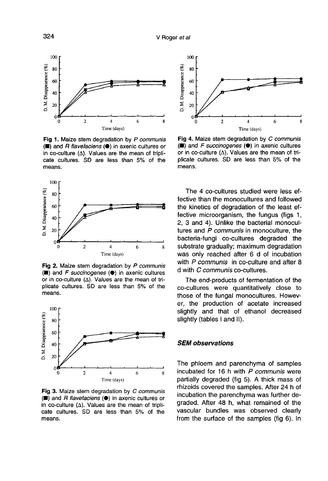

Fig 1. Maize stem degradation by P communis (■) and R flavefaciens (●) in axenic cultures or in co-culture  $(\Delta)$ . Values are the mean of triplicate cultures. SD are less than 5% of the means.



Fig 2. Maize stem degradation by P communis (■) and F succinogenes (●) in axenic cultures or in co-culture  $(\Delta)$ . Values are the mean of triplicate cultures. SD are less than 5% of the means.



Fig 3. Maize stem degradation by C communis (■) and R flavefaciens (●) in axenic cultures or in co-culture  $(\Delta)$ . Values are the mean of triplicate cultures. SD are less than 5% of the means.



Fig 4. Maize stem degradation by C communis  $(\blacksquare)$  and F succinogenes  $(\lozenge)$  in axenic cultures or in co-culture  $(\Delta)$ . Values are the mean of triplicate cultures. SD are less than 5% of the means.

The 4 co-cultures studied were less effective than the monocultures and followed the kinetics of degradation of the least effective microorganism, the fungus (figs 1, 2, 3 and 4). Unlike the bacterial monocultures and P communis in monoculture, the bacteria-fungi co-cultures degraded the substrate gradually; maximum degradation was only reached after 6 d of incubation with P communis in co-culture and after 8 d with C communis co-cultures.

The end-products of fermentation of the co-cultures were quantitatively close to those of the fungal monocultures. However, the production of acetate increased slightly and that of ethanol decreased slightly (tables I and II).

## SEM observations

The phloem and parenchyma of samples incubated for 16 h with  $P$  communis were partially degraded (fig 5). A thick mass of rhizoids covered the samples. After 24 h of incubation the parenchyma was further degraded. After 48 h, what remained of the vascular bundles was observed clearly from the surface of the samples (fig 6). In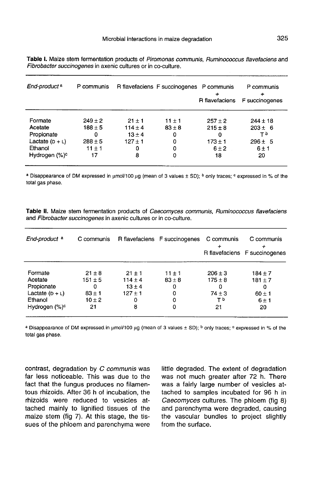Table I. Maize stem fermentation products of Piromonas communis, Ruminococcus flavefaciens and Fibrobacter succinogenes in axenic cultures or in co-culture.

| End-product <sup>a</sup>  | P communis  |             | R flavefaciens F succinogenes P communis | R flavefaciens | P communis<br>F succinogenes |
|---------------------------|-------------|-------------|------------------------------------------|----------------|------------------------------|
| Formate                   | $249 \pm 2$ | $21 \pm 1$  | $11 \pm 1$                               | $257 \pm 2$    | $244 \pm 18$                 |
| Acetate                   | $188 \pm 5$ | $114 \pm 4$ | $83 \pm 8$                               | $215 \pm 8$    | $203 \pm 6$                  |
| Propionate                | 0           | $13 \pm 4$  | 0                                        | 0              | Тb                           |
| Lactate $(D + L)$         | $288 \pm 5$ | $127 \pm 1$ | 0                                        | $173 \pm 1$    | $296 \pm 5$                  |
| Ethanol                   | $11 \pm 1$  | Ω           | 0                                        | $6 \pm 2$      | 6±1                          |
| Hydrogen (%) <sup>c</sup> | 17          | 8           | 0                                        | 18             | 20                           |

a Disappearance of DM expressed in umol/100 µg (mean of 3 values ± SD); <sup>b</sup> only traces; <sup>c</sup> expressed in % of the total gas phase.

Table II. Maize stem fermentation products of Caecomyces communis, Ruminococcus flavefaciens and Fibrobacter succinogenes in axenic cultures or in co-culture.

| End-product <sup>a</sup>  | C communis  |             | R flavefaciens F succinogenes | C communis  | C communis<br>R flavefaciens F succinogenes |
|---------------------------|-------------|-------------|-------------------------------|-------------|---------------------------------------------|
| Formate                   | $21 + 8$    | $21 \pm 1$  | $11 \pm 1$                    | $206 \pm 3$ | $184 + 7$                                   |
| Acetate                   | $151 \pm 5$ | $114 \pm 4$ | $83 \pm 8$                    | $175 \pm 8$ | $181 \pm 7$                                 |
| Propionate                | 0           | $13 \pm 4$  | 0                             | 0           | 0                                           |
| Lactate $(D + L)$         | $83 \pm 1$  | $127 + 1$   | 0                             | $74 \pm 3$  | $60 \pm 1$                                  |
| Ethanol                   | $10 \pm 2$  | 0           | 0                             | тb          | 6±1                                         |
| Hydrogen (%) <sup>c</sup> | 21          | 8           | 0                             | 21          | 20                                          |

a Disappearance of DM expressed in umol/100 µg (mean of 3 values ± SD); <sup>b</sup> only traces; <sup>c</sup> expressed in % of the total gas phase.

contrast, degradation by C communis was far less noticeable. This was due to the fact that the fungus produces no filamentous rhizoids. After 36 h of incubation, the rhizoids were reduced to vesicles attached mainly to lignified tissues of the maize stem (fig 7). At this stage, the tissues of the phloem and parenchyma were

little degraded. The extent of degradation was not much greater after 72 h. There was a fairly large number of vesicles attached to samples incubated for 96 h in Caecomyces cultures. The phloem (fig 8) and parenchyma were degraded, causing the vascular bundles to project slightly from the surface.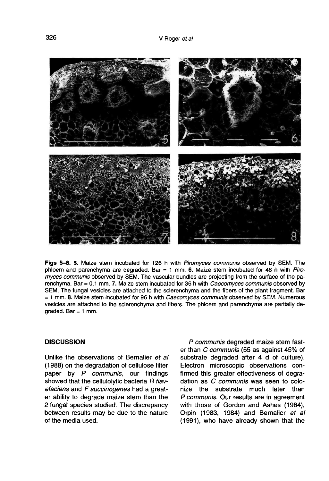

Figs 5-8, 5. Maize stem incubated for 126 h with Piromyces communis observed by SEM. The phloem and parenchyma are degraded. Bar = 1 mm. 6. Maize stem incubated for 48 h with Piromyces communis observed by SEM. The vascular bundles are projecting from the surface of the parenchyma. Bar = 0.1 mm. 7. Maize stem incubated for 36 h with Caecomyces communis observed by SEM. The fungal vesicles are attached to the sclerenchyma and the fibers of the plant fragment. Bar = 1 mm. 8. Maize stem incubated for 96 h with Caecomyces communis observed by SEM. Numerous vesicles are attached to the sclerenchyma and fibers. The phloem and parenchyma are partially de $graded. Bar = 1 mm.$ 

### **DISCUSSION**

Unlike the observations of Bernalier et al (1988) on the degradation of cellulose filter paper by  $P$  communis, our findings showed that the cellulolytic bacteria  $R$  flavefaciens and F succinogenes had a great er ability to degrade maize stem than the 2 fungal species studied. The discrepancy between results may be due to the nature of the media used.

P communis degraded maize stem faster than C communis (55 as against 45% of substrate degraded after 4 d of culture). Electron microscopic observations confirmed this greater effectiveness of degradation as C communis was seen to colonize the substrate much later than P communis. Our results are in agreement with those of Gordon and Ashes (1984), Orpin (1983, 1984) and Bernalier et al (1991), who have already shown that the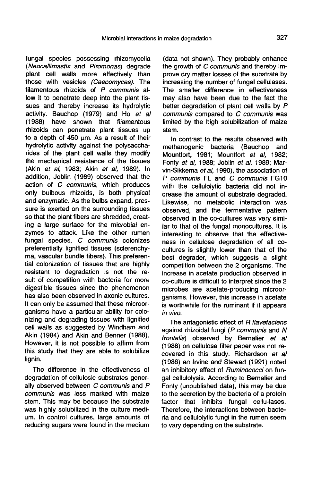fungal species possessing rhizomycelia (Neocallimastix and Piromonas) degrade plant cell walls more effectively than those with vesicles (Caecomyces). The filamentous rhizoids of  $P$  communis allow it to penetrate deep into the plant tissues and thereby increase its hydrolytic activity. Bauchop (1979) and Ho et al (1988) have shown that filamentous rhizoids can penetrate plant tissues up to a depth of  $450 \mu m$ . As a result of their hydrolytic activity against the polysaccharides of the plant cell walls they modify the mechanical resistance of the tissues (Akin et al, 1983; Akin et al, 1989). In addition, Joblin (1989) observed that the action of C communis, which produces only bulbous rhizoids, is both physical and enzymatic. As the bulbs expand, pressure is exerted on the surrounding tissues so that the plant fibers are shredded, creating a large surface for the microbial enzymes to attack. Like the other rumen fungal species, C communis colonizes preferentially lignified tissues (sclerenchyma, vascular bundle fibers). This preferential colonization of tissues that are highly resistant to degradation is not the result of competition with bacteria for more digestible tissues since the phenomenon has also been observed in axenic cultures. It can only be assumed that these microorganisms have a particular ability for colonizing and degrading tissues with lignified cell walls as suggested by Windham and Akin (1984) and Akin and Benner (1988). However, it is not possible to affirm from this study that they are able to solubilize lignin.

The difference in the effectiveness of degradation of cellulosic substrates generally observed between C communis and P communis was less marked with maize stem. This may be because the substrate was highly solubilized in the culture medium. In control cultures, large amounts of reducing sugars were found in the medium (data not shown). They probably enhance the growth of C communis and thereby improve dry matter losses of the substrate by increasing the number of fungal cellulases. The smaller difference in effectiveness may also have been due to the fact the better degradation of plant cell walls by P communis compared to C communis was limited by the high solubilization of maize stem.

In contrast to the results observed with methanogenic bacteria (Bauchop and Mountfort, 1981; Mountfort et al, 1982; Fonty et al, 1988; Joblin et al, 1989; Marvin-Sikkema et al, 1990), the association of P communis FL and C communis FG10 with the cellulolytic bacteria did not increase the amount of substrate degraded. Likewise, no metabolic interaction was observed, and the fermentative pattern observed in the co-cultures was very similar to that of the fungal monocultures. It is interesting to observe that the effectiveness in cellulose degradation of all cocultures is slightly lower than that of the best degrader, which suggests a slight competition between the 2 organisms. The increase in acetate production observed in co-culture is difficult to interpret since the 2 microbes are acetate-producing microorganisms. However, this increase in acetate is worthwhile for the ruminant if it appears in vivo.

The antagonistic effect of R flavefaciens against rhizoidal fungi (P communis and N frontalis) observed by Bernalier et al (1988) on cellulose filter paper was not recovered in this study. Richardson et al (1986) an Irvine and Stewart (1991) noted an inhibitory effect of Ruminococci on fungal cellulolysis. According to Bernalier and Fonty (unpublished data), this may be due to the secretion by the bacteria of a protein factor that inhibits fungal cellu-lases. Therefore, the interactions between bacteria and cellulolytic fungi in the rumen seem to vary depending on the substrate.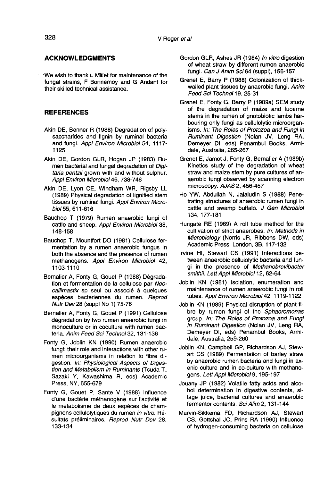### ACKNOWLEDGMENTS

We wish to thank L Millet for maintenance of the fungal strains, F Bonnemoy and G Andant for their skilled technical assistance.

#### REFERENCES

- Akin DE, Benner R (1988) Degradation of polysaccharides and lignin by ruminal bacteria and fungi. Appl Environ Microbiol 54, 1117- 1125
- Akin DE, Gordon GLR, Hogan JP (1983) Rumen bacterial and fungal degradation of Digitaria pentzii grown with and without sulphur. Appl Environ Microbiol46, 738-748
- Akin DE, Lyon CE, Windham WR, Rigsby LL (1989) Physical degradation of lignified stem tissues by ruminal fungi. Appl Environ Microbiol 55, 611-616
- Bauchop T (1979) Rumen anaerobic fungi of cattle and sheep. Appl Environ Microbiol 38, 148-158
- Bauchop T, Mountfort DO (1981) Cellulose fermentation by a rumen anaerobic fungus in both the absence and the presence of rumen methanogens. Appl Environ Microbiol 42, 1103-1110
- Bernalier A, Fonty G, Gouet P (1988) Degradation et fermentation de la cellulose par Neocallimastix sp seul ou associé à quelques espèces bactériennes du rumen. Reprod Nutr Dev 28 (suppl No 1) 75-76
- Bernalier A, Fonty G, Gouet P (1991) Cellulose degradation by two rumen anaerobic fungi in monoculture or in coculture with rumen bacteria. Anim Feed Sci Technol 32, 131-136
- Fonty G, Joblin KN (1990) Rumen anaerobic fungi: their role and interactions with other rumen microorganisms in relation to fibre digestion. In: Physiological Aspects of Digestion and Metabolism in Ruminants (Tsuda T, Sazaki Y, Kawashima R, eds) Academic Press, NY, 655-679
- Fonty G, Gouet P, Sante V (1988) Influence d'une bactérie méthanogène sur l'activité et le métabolisme de deux espèces de champignons cellulolytiques du rumen in vitro. Resultats préliminaires. Reprod Nutr Dev 28, 133-134
- Gordon GLR, Ashes JR (1984) In vitro digestion of wheat straw by different rumen anaerobic fungi. Can J Anim Sci 64 (suppl), 156-157
- Grenet E, Barry P (1988) Colonization of thickwalled plant tissues by anaerobic fungi. Anim Feed Sci Technol 19, 25-31
- Grenet E, Fonty G, Barry P (1989a) SEM study of the degradation of maize and lucerne stems in the rumen of gnotobiotic lambs harbouring only fungi as cellulolytic microorganisms. In: The Roles of Protozoa and Fungi in Ruminant Digestion (Nolan JV, Leng RA, Demeyer DI, eds) Penambul Books, Armidale, Australia, 265-267
- Grenet E, Jamot J, Fonty G, Bernalier A (1989b) Kinetics study of the degradation of wheat straw and maize stem by pure cultures of anaerobic fungi observed by scanning electron microscopy. AJAS 2, 456-457
- Ho YW, Abdullah N, Jalaludin S (1988) Penetrating structures of anaerobic rumen fungi in cattle and swamp buffalo. J Gen Microbiol 134, 177-181
- Hungate RE (1969) A roll tube method for the cultivation of strict anaerobes. In: Methods in Microbiology (Norris JR, Ribbons DW, eds) Academic Press, London, 3B, 117-132
- Irvine HI, Stewart CS (1991) Interactions between anaerobic cellulolytic bacteria and fungi in the presence of Methanobrevibacter smithii. Lett Appl Microbiol 12, 62-64
- Joblin KN (1981) Isolation, enumeration and maintenance of rumen anaerobic fungi in roll tubes. Appl Environ Microbiol 42, 1119-1122
- Joblin KN (1989) Physical disruption of plant fibre by rumen fungi of the Sphaeromonas group. In: The Roles of Protozoa and Fungi in Ruminant Digestion (Nolan JV, Leng RA, Demeyer DI, eds) Penambul Books, Armidale, Australia, 259-260
- Joblin KN, Campbell GP, Richardson AJ, Stewart CS (1989) Fermentation of barley straw by anaerobic rumen bacteria and fungi in axenic culture and in co-culture with methanogens. Lett Appl Microbiol 9, 195-197
- Jouany JP (1982) Volatile fatty acids and alcohol determination in digestive contents, silage juice, bacterial cultures and anaerobic fermentor contents. Sci Alim 2, 131-144
- Marvin-Sikkema FD, Richardson AJ, Stewart CS, Gottshal JC, Prins RA (1990) Influence of hydrogen-consuming bacteria on cellulose